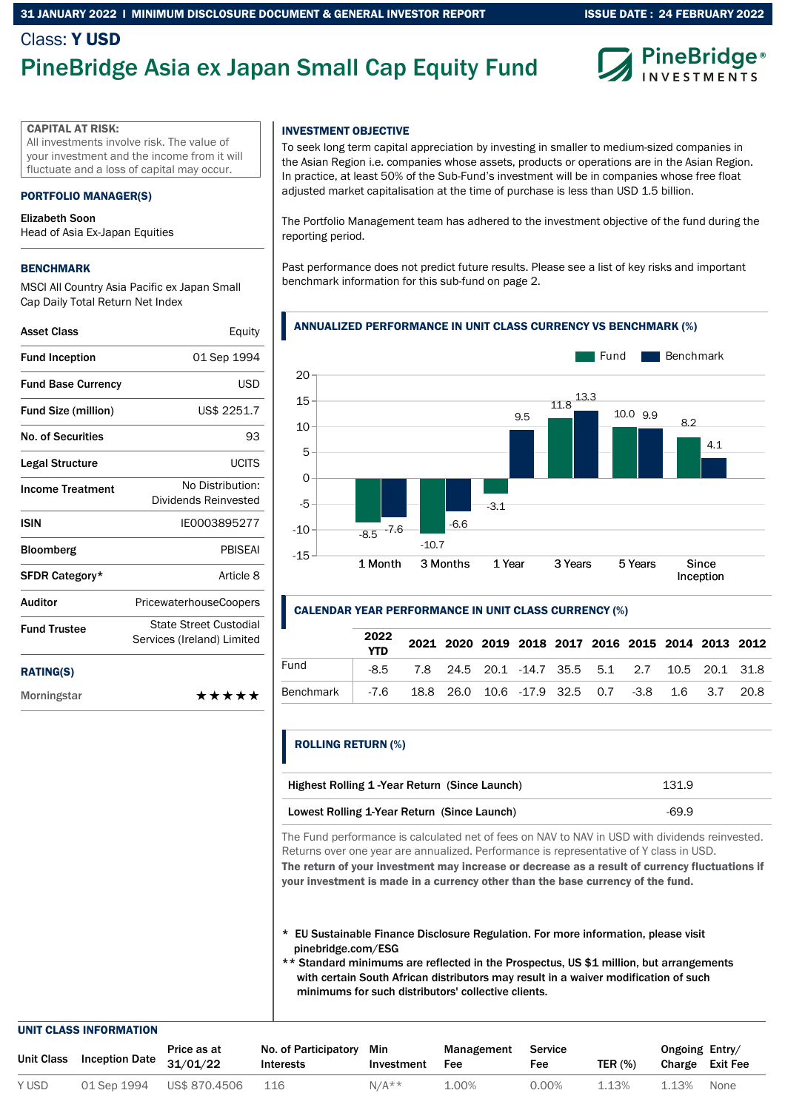### ISSUE DATE : 24 FEBRUARY 2022

### Class: Y USD

## PineBridge Asia ex Japan Small Cap Equity Fund



### CAPITAL AT RISK:

All investments involve risk. The value of your investment and the income from it will fluctuate and a loss of capital may occur.

### PORTFOLIO MANAGER(S)

### Elizabeth Soon

Head of Asia Ex-Japan Equities

### BENCHMARK

MSCI All Country Asia Pacific ex Japan Small Cap Daily Total Return Net Index

| <b>Asset Class</b>         | Equity                                               |
|----------------------------|------------------------------------------------------|
| <b>Fund Inception</b>      | 01 Sep 1994                                          |
| <b>Fund Base Currency</b>  | USD                                                  |
| <b>Fund Size (million)</b> | US\$ 2251.7                                          |
| No. of Securities          | 93                                                   |
| Legal Structure            | <b>UCITS</b>                                         |
| <b>Income Treatment</b>    | No Distribution:<br>Dividends Reinvested             |
| ISIN                       | IF0003895277                                         |
| <b>Bloomberg</b>           | <b>PRISFAI</b>                                       |
| SFDR Category*             | Article 8                                            |
| <b>Auditor</b>             | <b>PricewaterhouseCoopers</b>                        |
| <b>Fund Trustee</b>        | State Street Custodial<br>Services (Ireland) Limited |
|                            |                                                      |

### RATING(S)

Morningstar \*\*\*\*\*

### INVESTMENT OBJECTIVE

To seek long term capital appreciation by investing in smaller to medium-sized companies in the Asian Region i.e. companies whose assets, products or operations are in the Asian Region. In practice, at least 50% of the Sub-Fund's investment will be in companies whose free float adjusted market capitalisation at the time of purchase is less than USD 1.5 billion.

The Portfolio Management team has adhered to the investment objective of the fund during the reporting period.

Past performance does not predict future results. Please see a list of key risks and important benchmark information for this sub-fund on page 2.

### ANNUALIZED PERFORMANCE IN UNIT CLASS CURRENCY VS BENCHMARK (%)



### CALENDAR YEAR PERFORMANCE IN UNIT CLASS CURRENCY (%)

|           | 2022<br><b>YTD</b> |                                                      |  |  |  | 2021 2020 2019 2018 2017 2016 2015 2014 2013 2012 |  |
|-----------|--------------------|------------------------------------------------------|--|--|--|---------------------------------------------------|--|
| Fund      |                    | -8.5 7.8 24.5 20.1 -14.7 35.5 5.1 2.7 10.5 20.1 31.8 |  |  |  |                                                   |  |
| Benchmark |                    | -7.6 18.8 26.0 10.6 -17.9 32.5 0.7 -3.8 1.6 3.7 20.8 |  |  |  |                                                   |  |

### ROLLING RETURN (%)

| Highest Rolling 1-Year Return (Since Launch) | 131.9   |
|----------------------------------------------|---------|
| Lowest Rolling 1-Year Return (Since Launch)  | $-69.9$ |

The Fund performance is calculated net of fees on NAV to NAV in USD with dividends reinvested. Returns over one year are annualized. Performance is representative of Y class in USD. The return of your investment may increase or decrease as a result of currency fluctuations if

your investment is made in a currency other than the base currency of the fund.

- \* EU Sustainable Finance Disclosure Regulation. For more information, please visit pinebridge.com/ESG
- \*\* Standard minimums are reflected in the Prospectus, US \$1 million, but arrangements with certain South African distributors may result in a waiver modification of such minimums for such distributors' collective clients.

#### UNIT CLASS INFORMATION

| Unit Class | <b>Inception Date</b> | Price as at<br>31/01/22 | No. of Participatory<br><b>Interests</b> | Min<br>Investment | Management<br>Fee | Service<br>Fee | <b>TER (%)</b> | Ongoing Entry/<br>Charge Exit Fee |      |
|------------|-----------------------|-------------------------|------------------------------------------|-------------------|-------------------|----------------|----------------|-----------------------------------|------|
| Y USD      | 01 Sep 1994           | US\$ 870.4506           | 116                                      | $N/A**$           | 1.00%             | 0.00%          | 1.13%          | 1.13%                             | None |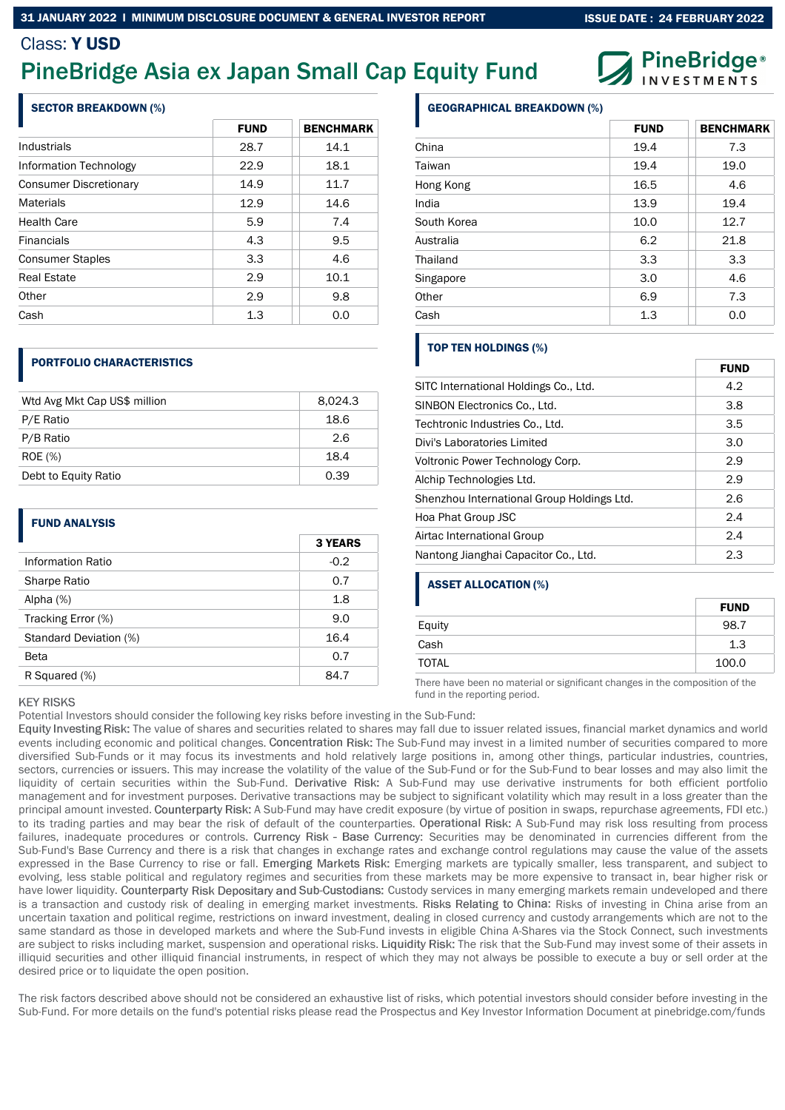## PineBridge Asia ex Japan Small Cap Equity Fund

### SECTOR BREAKDOWN (%)

|                               | <b>FUND</b> | <b>BENCHMARK</b> |
|-------------------------------|-------------|------------------|
| Industrials                   | 28.7        | 14.1             |
| Information Technology        | 22.9        | 18.1             |
| <b>Consumer Discretionary</b> | 14.9        | 11.7             |
| <b>Materials</b>              | 12.9        | 14.6             |
| <b>Health Care</b>            | 5.9         | 7.4              |
| <b>Financials</b>             | 4.3         | 9.5              |
| <b>Consumer Staples</b>       | 3.3         | 4.6              |
| Real Estate                   | 2.9         | 10.1             |
| Other                         | 2.9         | 9.8              |
| Cash                          | 1.3         | 0.0              |

### PORTFOLIO CHARACTERISTICS

| Wtd Avg Mkt Cap US\$ million | 8,024.3 |
|------------------------------|---------|
|                              |         |
| P/E Ratio                    | 18.6    |
| P/B Ratio                    | 2.6     |
| <b>ROE</b> (%)               | 18.4    |
| Debt to Equity Ratio         | 0.39    |

### FUND ANALYSIS

|                        | <b>3 YEARS</b> |
|------------------------|----------------|
| Information Ratio      | $-0.2$         |
| Sharpe Ratio           | 0.7            |
| Alpha $(%)$            | 1.8            |
| Tracking Error (%)     | 9.0            |
| Standard Deviation (%) | 16.4           |
| Beta                   | 0.7            |
| R Squared (%)          | 84.7           |

|     | <b>ASSET A</b> |
|-----|----------------|
| 1.8 |                |
| 9.0 | Equity         |
|     |                |

# Equity

There have been no material or significant changes in the composition of the

### **KEY RISKS**

Potential Investors should consider the following key risks before investing in the Sub-Fund:

Equity Investing Risk: The value of shares and securities related to shares may fall due to issuer related issues, financial market dynamics and world events including economic and political changes. Concentration Risk: The Sub-Fund may invest in a limited number of securities compared to more diversified Sub-Funds or it may focus its investments and hold relatively large positions in, among other things, particular industries, countries, sectors, currencies or issuers. This may increase the volatility of the value of the Sub-Fund or for the Sub-Fund to bear losses and may also limit the liquidity of certain securities within the Sub-Fund. Derivative Risk: A Sub-Fund may use derivative instruments for both efficient portfolio management and for investment purposes. Derivative transactions may be subject to significant volatility which may result in a loss greater than the principal amount invested. Counterparty Risk: A Sub-Fund may have credit exposure (by virtue of position in swaps, repurchase agreements, FDI etc.) to its trading parties and may bear the risk of default of the counterparties. Operational Risk: A Sub-Fund may risk loss resulting from process failures, inadequate procedures or controls. Currency Risk - Base Currency: Securities may be denominated in currencies different from the Sub-Fund's Base Currency and there is a risk that changes in exchange rates and exchange control regulations may cause the value of the assets expressed in the Base Currency to rise or fall. Emerging markets are typically smaller, less transparent, and subject to evolving, less stable political and regulatory regimes and securities from these markets may be more expensive to transact in, bear higher risk or have lower liquidity. Counterparty Risk Depositary and Sub-Custodians: Custody services in many emerging markets remain undeveloped and there is a transaction and custody risk of dealing in emerging market investments. Risks Relating to China: Risks of investing in China arise from an uncertain taxation and political regime, restrictions on inward investment, dealing in closed currency and custody arrangements which are not to the same standard as those in developed markets and where the Sub-Fund invests in eligible China A-Shares via the Stock Connect, such investments are subject to risks including market, suspension and operational risks. Liquidity Risk: The risk that the Sub-Fund may invest some of their assets in illiquid securities and other illiquid financial instruments, in respect of which they may not always be possible to execute a buy or sell order at the desired price or to liquidate the open position.

The risk factors described above should not be considered an exhaustive list of risks, which potential investors should consider before investing in the Sub-Fund. For more details on the fund's potential risks please read the Prospectus and Key Investor Information Document at pinebridge.com/funds

### GEOGRAPHICAL BREAKDOWN (%)

|             | <b>FUND</b> | <b>BENCHMARK</b> |
|-------------|-------------|------------------|
| China       | 19.4        | 7.3              |
| Taiwan      | 19.4        | 19.0             |
| Hong Kong   | 16.5        | 4.6              |
| India       | 13.9        | 19.4             |
| South Korea | 10.0        | 12.7             |
| Australia   | 6.2         | 21.8             |
| Thailand    | 3.3         | 3.3              |
| Singapore   | 3.0         | 4.6              |
| Other       | 6.9         | 7.3              |
| Cash        | 1.3         | 0.0              |

### TOP TEN HOLDINGS (%)

|                                            | FUND |
|--------------------------------------------|------|
| SITC International Holdings Co., Ltd.      | 4.2  |
| SINBON Electronics Co., Ltd.               | 3.8  |
| Techtronic Industries Co., Ltd.            | 3.5  |
| Divi's Laboratories Limited                | 3.0  |
| Voltronic Power Technology Corp.           | 2.9  |
| Alchip Technologies Ltd.                   | 2.9  |
| Shenzhou International Group Holdings Ltd. | 2.6  |
| Hoa Phat Group JSC                         | 2.4  |
| Airtac International Group                 | 2.4  |
| Nantong Jianghai Capacitor Co., Ltd.       | 2.3  |

### **ALLOCATION (%)**

|              | <b>FUND</b> |
|--------------|-------------|
| Equity       | 98.7        |
| Cash         | 1.3         |
| <b>TOTAL</b> | 100.0       |

fund in the reporting period.



 $-$ - - - - -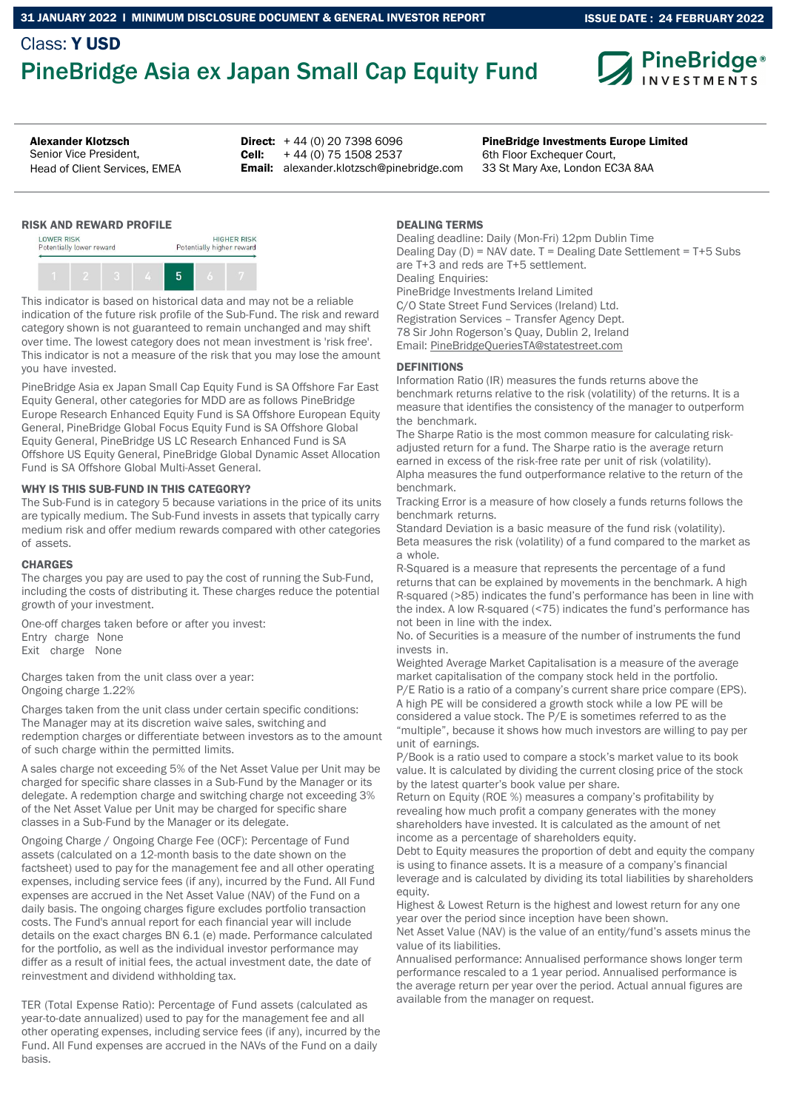## Class: Y USD PineBridge Asia ex Japan Small Cap Equity Fund



ISSUE DATE : 24 FEBRUARY 2022

## Senior Vice President,

Head of Client Services, EMEA

Alexander Klotzsch **PineBridge Investments Europe Limited PineBridge Investments Europe Limited Direct:**  $+44(0)$  20 7398 6096 Cell: Email: alexander.klotzsch@pinebridge.com + 44 (0) 75 1508 2537

6th Floor Exchequer Court, 33 St Mary Axe, London EC3A 8AA

### RISK AND REWARD PROFILE



This indicator is based on historical data and may not be a reliable indication of the future risk profile of the Sub-Fund. The risk and reward category shown is not guaranteed to remain unchanged and may shift over time. The lowest category does not mean investment is 'risk free'. This indicator is not a measure of the risk that you may lose the amount you have invested.

PineBridge Asia ex Japan Small Cap Equity Fund is SA Offshore Far East Equity General, other categories for MDD are as follows PineBridge Europe Research Enhanced Equity Fund is SA Offshore European Equity General, PineBridge Global Focus Equity Fund is SA Offshore Global Equity General, PineBridge US LC Research Enhanced Fund is SA Offshore US Equity General, PineBridge Global Dynamic Asset Allocation Fund is SA Offshore Global Multi-Asset General.

### WHY IS THIS SUB-FUND IN THIS CATEGORY?

The Sub-Fund is in category 5 because variations in the price of its units are typically medium. The Sub-Fund invests in assets that typically carry medium risk and offer medium rewards compared with other categories of assets.

### **CHARGES**

The charges you pay are used to pay the cost of running the Sub-Fund, including the costs of distributing it. These charges reduce the potential growth of your investment.

One-off charges taken before or after you invest: Entry charge None Exit charge None

Charges taken from the unit class over a year: Ongoing charge 1.22%

Charges taken from the unit class under certain specific conditions: The Manager may at its discretion waive sales, switching and redemption charges or differentiate between investors as to the amount of such charge within the permitted limits.

A sales charge not exceeding 5% of the Net Asset Value per Unit may be charged for specific share classes in a Sub-Fund by the Manager or its delegate. A redemption charge and switching charge not exceeding 3% of the Net Asset Value per Unit may be charged for specific share classes in a Sub-Fund by the Manager or its delegate.

Ongoing Charge / Ongoing Charge Fee (OCF): Percentage of Fund assets (calculated on a 12-month basis to the date shown on the factsheet) used to pay for the management fee and all other operating expenses, including service fees (if any), incurred by the Fund. All Fund expenses are accrued in the Net Asset Value (NAV) of the Fund on a daily basis. The ongoing charges figure excludes portfolio transaction costs. The Fund's annual report for each financial year will include details on the exact charges BN 6.1 (e) made. Performance calculated for the portfolio, as well as the individual investor performance may differ as a result of initial fees, the actual investment date, the date of reinvestment and dividend withholding tax.

TER (Total Expense Ratio): Percentage of Fund assets (calculated as year-to-date annualized) used to pay for the management fee and all other operating expenses, including service fees (if any), incurred by the Fund. All Fund expenses are accrued in the NAVs of the Fund on a daily basis.

### DEALING TERMS

Dealing deadline: Daily (Mon-Fri) 12pm Dublin Time Dealing Day (D) = NAV date. T = Dealing Date Settlement = T+5 Subs are T+3 and reds are T+5 settlement. Dealing Enquiries: PineBridge Investments Ireland Limited C/O State Street Fund Services (Ireland) Ltd. Registration Services – Transfer Agency Dept. 78 Sir John Rogerson's Quay, Dublin 2, Ireland Email: PineBridgeQueriesTA@statestreet.com

### **DEFINITIONS**

Information Ratio (IR) measures the funds returns above the benchmark returns relative to the risk (volatility) of the returns. It is a measure that identifies the consistency of the manager to outperform the benchmark.

The Sharpe Ratio is the most common measure for calculating riskadjusted return for a fund. The Sharpe ratio is the average return earned in excess of the risk-free rate per unit of risk (volatility). Alpha measures the fund outperformance relative to the return of the benchmark.

Tracking Error is a measure of how closely a funds returns follows the benchmark returns.

Standard Deviation is a basic measure of the fund risk (volatility). Beta measures the risk (volatility) of a fund compared to the market as a whole.

R-Squared is a measure that represents the percentage of a fund returns that can be explained by movements in the benchmark. A high R-squared (>85) indicates the fund's performance has been in line with the index. A low R-squared (<75) indicates the fund's performance has not been in line with the index.

No. of Securities is a measure of the number of instruments the fund invests in.

Weighted Average Market Capitalisation is a measure of the average market capitalisation of the company stock held in the portfolio. P/E Ratio is a ratio of a company's current share price compare (EPS). A high PE will be considered a growth stock while a low PE will be considered a value stock. The P/E is sometimes referred to as the "multiple", because it shows how much investors are willing to pay per

unit of earnings. P/Book is a ratio used to compare a stock's market value to its book value. It is calculated by dividing the current closing price of the stock by the latest quarter's book value per share.

Return on Equity (ROE %) measures a company's profitability by revealing how much profit a company generates with the money shareholders have invested. It is calculated as the amount of net income as a percentage of shareholders equity.

Debt to Equity measures the proportion of debt and equity the company is using to finance assets. It is a measure of a company's financial leverage and is calculated by dividing its total liabilities by shareholders equity.

Highest & Lowest Return is the highest and lowest return for any one year over the period since inception have been shown.

Net Asset Value (NAV) is the value of an entity/fund's assets minus the value of its liabilities.

Annualised performance: Annualised performance shows longer term performance rescaled to a 1 year period. Annualised performance is the average return per year over the period. Actual annual figures are available from the manager on request.